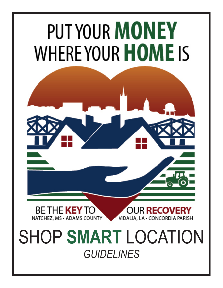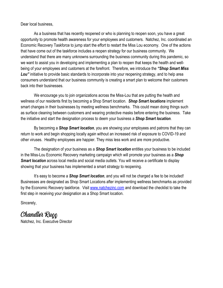Dear local business,

As a business that has recently reopened or who is planning to reopen soon, you have a great opportunity to promote health awareness for your employees and customers. Natchez, Inc. coordinated an Economic Recovery Taskforce to jump start the effort to restart the Miss Lou economy. One of the actions that have come out of the taskforce includes a reopen strategy for our business community. We understand that there are many unknowns surrounding the business community during this pandemic, so we want to assist you in developing and implementing a plan to reopen that keeps the health and wellbeing of your employees and customers at the forefront. Therefore, we introduce the *"Shop Smart Miss*  Lou" initiative to provide basic standards to incorporate into your reopening strategy, and to help area consumers understand that our business community is creating a smart plan to welcome their customers back into their businesses.

 We encourage you to join organizations across the Miss-Lou that are putting the health and wellness of our residents first by becoming a Shop Smart location. *Shop Smart locations* implement smart changes in their businesses by meeting wellness benchmarks. This could mean doing things such as surface cleaning between customers and wearing protective masks before entering the business. Take the initiative and start the designation process to deem your business a *Shop Smart location*.

By becoming a *Shop Smart location*, you are showing your employees and patrons that they can return to work and begin shopping locally again without an increased risk of exposure to COVID-19 and other viruses. Healthy employees are happier. They miss less work and are more productive.

The designation of your business as a *Shop Smart location* entitles your business to be included in the Miss-Lou Economic Recovery marketing campaign which will promote your business as a *Shop*  **Smart location** across local media and social media outlets. You will receive a certificate to display showing that your business has implemented a smart strategy to reopening.

It's easy to become a *Shop Smart location*, and you will not be charged a fee to be included! Businesses are designated as Shop Smart Locations after implementing wellness benchmarks as provided by the Economic Recovery taskforce. Visit www.natchezinc.com and download the checklist to take the first step in receiving your designation as a Shop Smart location.

Sincerely,

Chandler Ruçç Natchez, Inc. Executive Director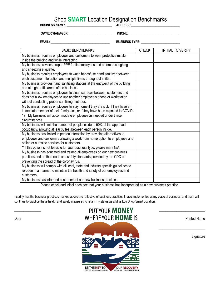## Shop **SMART** Location Designation Benchmarks<br> **ADDRESS:**

**BUSINESS NAME:** \_\_\_\_\_\_\_\_\_\_\_\_\_\_\_\_\_\_\_\_\_\_\_\_\_\_\_\_\_

**OWNER/MANAGER: \_\_\_\_\_\_\_\_\_\_\_\_\_\_\_\_\_\_\_\_\_\_\_\_\_\_ PHONE: \_\_\_\_\_\_\_\_\_\_\_\_\_\_\_\_\_\_\_\_\_\_\_\_\_\_\_\_\_\_\_**

**EMAIL: \_\_\_\_\_\_\_\_\_\_\_\_\_\_\_\_\_\_\_\_\_\_\_\_\_\_\_\_\_\_\_\_\_\_\_\_\_ BUSINESS TYPE: \_\_\_\_\_\_\_\_\_\_\_\_\_\_\_\_\_\_\_\_\_\_\_\_**

| <b>BASIC BENCHMARKS</b>                                                                                             | <b>CHECK</b> | <b>INITIAL TO VERIFY</b> |
|---------------------------------------------------------------------------------------------------------------------|--------------|--------------------------|
| My business requires employees and customers to wear protective masks<br>inside the building and while interacting. |              |                          |
| My business provides proper PPE for its employees and enforces coughing                                             |              |                          |
| and sneezing etiquette.                                                                                             |              |                          |
| My business requires employees to wash hands/use hand sanitizer between                                             |              |                          |
| each customer interaction and multiple times throughout shifts.                                                     |              |                          |
| My business provides hand sanitizing stations at the entry/exit of the building                                     |              |                          |
| and at high traffic areas of the business.                                                                          |              |                          |
| My business requires employees to clean surfaces between customers and                                              |              |                          |
| does not allow employees to use another employee's phone or workstation                                             |              |                          |
| without conducting proper sanitizing methods.                                                                       |              |                          |
| My business requires employees to stay home if they are sick, if they have an                                       |              |                          |
| immediate member of their family sick, or if they have been exposed to COVID-                                       |              |                          |
| 19. My business will accommodate employees as needed under these<br>circumstances.                                  |              |                          |
| My business will limit the number of people inside to 50% of the approved                                           |              |                          |
| occupancy, allowing at least 6 feet between each person inside.                                                     |              |                          |
| My business has limited in-person interaction by providing alternatives to                                          |              |                          |
| employees and customers allowing a work from home option to employees and                                           |              |                          |
| online or curbside services for customers.                                                                          |              |                          |
| ** If this option is not feasible for your business type, please mark N/A.                                          |              |                          |
| My business has educated and trained all employees on our new business                                              |              |                          |
| practices and on the health and safety standards provided by the CDC on                                             |              |                          |
| preventing the spread of the coronavirus.                                                                           |              |                          |
| My business will comply with all local, state and industry specific guidelines to                                   |              |                          |
| re-open in a manner to maintain the health and safety of our employees and                                          |              |                          |
| customers.                                                                                                          |              |                          |
| My business has informed customers of our new business practices.                                                   |              |                          |
|                                                                                                                     |              |                          |

Please check and initial each box that your business has incorporated as a new business practice.

I certify that the business practices marked above are reflective of business practices I have implemented at my place of business, and that I will continue to practice these health and safety measures to retain my status as a Miss Lou Shop Smart Location.

## PUT YOUR **MONEY** Date **Example 2008 WHERE YOUR HOME IS**



 $\frac{1}{2}$  ,  $\frac{1}{2}$  ,  $\frac{1}{2}$  ,  $\frac{1}{2}$  ,  $\frac{1}{2}$  ,  $\frac{1}{2}$  ,  $\frac{1}{2}$  ,  $\frac{1}{2}$  ,  $\frac{1}{2}$  ,  $\frac{1}{2}$  ,  $\frac{1}{2}$  ,  $\frac{1}{2}$  ,  $\frac{1}{2}$  ,  $\frac{1}{2}$  ,  $\frac{1}{2}$  ,  $\frac{1}{2}$  ,  $\frac{1}{2}$  ,  $\frac{1}{2}$  ,  $\frac{1$ 

**Signature**